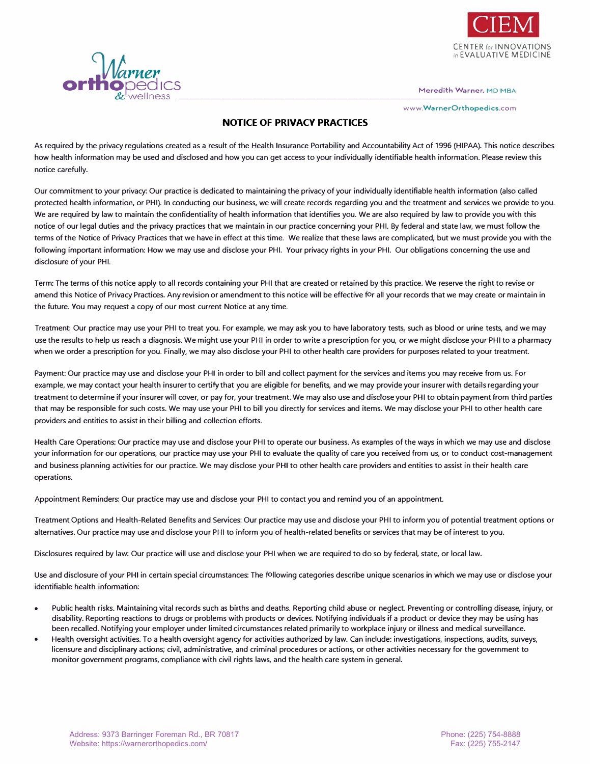

**www.WarnerOrthopedics.com** 



## **NOTICE OF PRIVACY PRACTICES**

As required by the privacy regulations created as a result of the Health Insurance Portability and Accountability Act of 1996 (HIPAA). This notice describes how health information may be used and disclosed and how you can get access to your individually identifiable health information. Please review this notice carefully.

Our commitment to your privacy: Our practice is dedicated to maintaining the privacy of your individually identifiable health information (also called protected health information, or PHI). In conducting our business, we will create records regarding you and the treatment and services we provide to you. We are required by law to maintain the confidentiality of health information that identifies you. We are also required by law to provide you with this notice of our legal duties and the privacy practices that we maintain in our practice concerning your PHI. By federal and state law, we must follow the terms of the Notice of Privacy Practices that we have in effect at this time. We realize that these laws are complicated, but we must provide you with the following important information: How we may use and disclose your PHI. Your privacy rights in your PHI. Our obligations concerning the use and disclosure of your PHI.

Term: The terms of this notice apply to all records containing your PHI that are created or retained by this practice. We reserve the right to revise or amend this Notice of Privacy Practices. Any revision or amendment to this notice will be effective for all your records that we may create or maintain in the future. You may request a copy of our most current Notice at any time.

Treatment: Our practice may use your PHI to treat you. For example, we may ask you to have laboratory tests, such as blood or urine tests, and we may use the results to help us reach a diagnosis. We might use your PHI in order to write a prescription for you, or we might disclose your PHI to a pharmacy when we order a prescription for you. Finally, we may also disclose your PHI to other health care providers for purposes related to your treatment.

Payment: Our practice may use and disclose your PHI in order to bill and collect payment for the services and items you may receive from us. For example, we may contact your health insurer to certify that you are eligible for benefits, and we may provide your insurer with details regarding your treatment to determine if your insurer will cover, or pay for, your treatment. We may also use and disclose your PHI to obtain payment from third parties that may be responsible for such costs. We may use your PHI to bill you directly for services and items. We may disclose your PHI to other health care providers and entities to assist in their billing and collection efforts.

Health Care Operations: Our practice may use and disclose your PHI to operate our business. As examples of the ways in which we may use and disclose your information for our operations, our practice may use your PHI to evaluate the quality of care you received from us, or to conduct cost-management and business planning activities for our practice. We may disclose your PHI to other health care providers and entities to assist in their health care operations.

Appointment Reminders: Our practice may use and disclose your PHI to contact you and remind you of an appointment.

Treatment Options and Health-Related Benefits and Services: Our practice may use and disclose your PHI to inform you of potential treatment options or alternatives. Our practice may use and disclose your PHI to inform you of health-related benefits or services that may be of interest to you.

Disclosures required by law: Our practice will use and disclose your PHI when we are required to do so by federal, state, or local law.

Use and disclosure of your PHI in certain special circumstances: The following categories describe unique scenarios in which we may use or disclose your identifiable health information:

- Public health risks. Maintaining vital records such as births and deaths. Reporting child abuse or neglect. Preventing or controlling disease, injury, or disability. Reporting reactions to drugs or problems with products or devices. Notifying individuals if a product or device they may be using has been recalled. Notifying your employer under limited circumstances related primarily to workplace injury or illness and medical surveillance.
- Health oversight activities. To a health oversight agency for activities authorized by law. Can include: investigations, inspections, audits, surveys, licensure and disciplinary actions; civil, administrative, and criminal procedures or actions, or other activities necessary for the government to monitor government programs, compliance with civil rights laws, and the health care system in general.